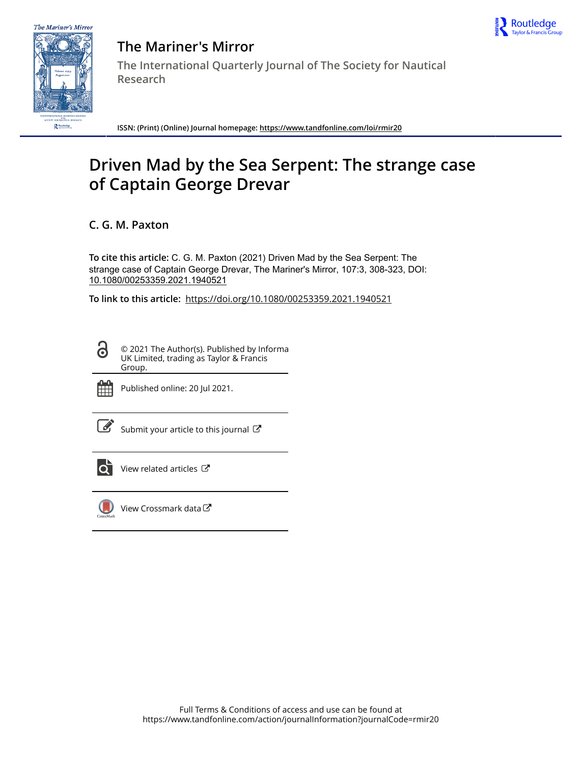



**The Mariner's Mirror The International Quarterly Journal of The Society for Nautical Research**

**ISSN: (Print) (Online) Journal homepage:<https://www.tandfonline.com/loi/rmir20>**

# **Driven Mad by the Sea Serpent: The strange case of Captain George Drevar**

**C. G. M. Paxton**

**To cite this article:** C. G. M. Paxton (2021) Driven Mad by the Sea Serpent: The strange case of Captain George Drevar, The Mariner's Mirror, 107:3, 308-323, DOI: [10.1080/00253359.2021.1940521](https://www.tandfonline.com/action/showCitFormats?doi=10.1080/00253359.2021.1940521)

**To link to this article:** <https://doi.org/10.1080/00253359.2021.1940521>

© 2021 The Author(s). Published by Informa UK Limited, trading as Taylor & Francis Group.



ര

Published online: 20 Jul 2021.

[Submit your article to this journal](https://www.tandfonline.com/action/authorSubmission?journalCode=rmir20&show=instructions)  $\mathbb{Z}$ 



[View related articles](https://www.tandfonline.com/doi/mlt/10.1080/00253359.2021.1940521)  $\mathbb{Z}$ 



[View Crossmark data](http://crossmark.crossref.org/dialog/?doi=10.1080/00253359.2021.1940521&domain=pdf&date_stamp=2021-07-20)<sup>C</sup>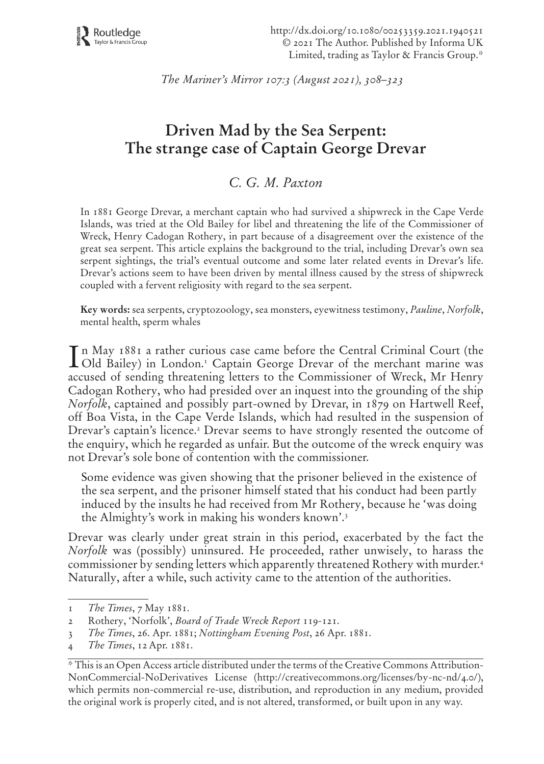http://dx.doi.org/10.1080/00253359.2021.1940521 © 2021 The Author. Published by Informa UK Limited, trading as Taylor & Francis Group.\*

*The Mariner's Mirror 107:3 (August 2021), 308–323*

# **Driven Mad by the Sea Serpent: The strange case of Captain George Drevar**

# *C. G. M. Paxton*

In 1881 George Drevar, a merchant captain who had survived a shipwreck in the Cape Verde Islands, was tried at the Old Bailey for libel and threatening the life of the Commissioner of Wreck, Henry Cadogan Rothery, in part because of a disagreement over the existence of the great sea serpent. This article explains the background to the trial, including Drevar's own sea serpent sightings, the trial's eventual outcome and some later related events in Drevar's life. Drevar's actions seem to have been driven by mental illness caused by the stress of shipwreck coupled with a fervent religiosity with regard to the sea serpent.

**Key words:** sea serpents, cryptozoology, sea monsters, eyewitness testimony, *Pauline*, *Norfolk*, mental health, sperm whales

In May 1881 a rather curious case came before the Central Criminal Court (the Old Bailey) in London.1 Captain George Drevar of the merchant marine was accused of sending threatening letters to the Commissioner of Wreck, Mr Henry Cadogan Rothery, who had presided over an inquest into the grounding of the ship *Norfolk*, captained and possibly part-owned by Drevar, in 1879 on Hartwell Reef, off Boa Vista, in the Cape Verde Islands, which had resulted in the suspension of Drevar's captain's licence.<sup>2</sup> Drevar seems to have strongly resented the outcome of the enquiry, which he regarded as unfair. But the outcome of the wreck enquiry was not Drevar's sole bone of contention with the commissioner.

Some evidence was given showing that the prisoner believed in the existence of the sea serpent, and the prisoner himself stated that his conduct had been partly induced by the insults he had received from Mr Rothery, because he 'was doing the Almighty's work in making his wonders known'.3

Drevar was clearly under great strain in this period, exacerbated by the fact the *Norfolk* was (possibly) uninsured. He proceeded, rather unwisely, to harass the commissioner by sending letters which apparently threatened Rothery with murder.4 Naturally, after a while, such activity came to the attention of the authorities.

<sup>1</sup> *The Times*, 7 May 1881.

<sup>2</sup> Rothery, 'Norfolk', *Board of Trade Wreck Report* 119-121.

<sup>3</sup> *The Times*, 26. Apr. 1881; *Nottingham Evening Post*, 26 Apr. 1881.

<sup>4</sup> *The Times*, 12Apr. 1881.

<sup>\*</sup> This is an Open Access article distributed under the terms of the Creative Commons Attribution-NonCommercial-NoDerivatives License (http://creativecommons.org/licenses/by-nc-nd/4.0/), which permits non-commercial re-use, distribution, and reproduction in any medium, provided the original work is properly cited, and is not altered, transformed, or built upon in any way.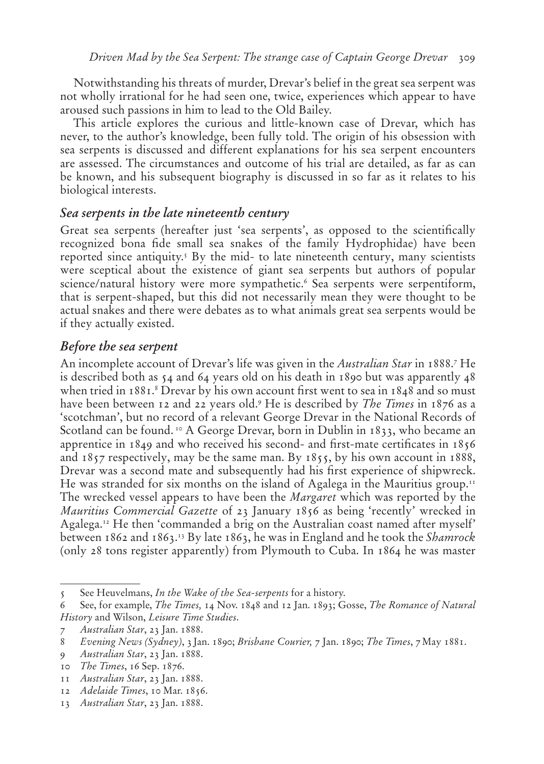Notwithstanding his threats of murder, Drevar's belief in the great sea serpent was not wholly irrational for he had seen one, twice, experiences which appear to have aroused such passions in him to lead to the Old Bailey.

This article explores the curious and little-known case of Drevar, which has never, to the author's knowledge, been fully told. The origin of his obsession with sea serpents is discussed and different explanations for his sea serpent encounters are assessed. The circumstances and outcome of his trial are detailed, as far as can be known, and his subsequent biography is discussed in so far as it relates to his biological interests.

#### **Sea serpents in the late nineteenth century**

Great sea serpents (hereafter just 'sea serpents', as opposed to the scientifically recognized bona fide small sea snakes of the family Hydrophidae) have been reported since antiquity.5 By the mid- to late nineteenth century, many scientists were sceptical about the existence of giant sea serpents but authors of popular science/natural history were more sympathetic.<sup>6</sup> Sea serpents were serpentiform, that is serpent-shaped, but this did not necessarily mean they were thought to be actual snakes and there were debates as to what animals great sea serpents would be if they actually existed.

### **Before the sea serpent**

An incomplete account of Drevar's life was given in the *Australian Star* in 1888.7 He is described both as  $54$  and  $64$  years old on his death in 1890 but was apparently  $48$ when tried in 1881.<sup>8</sup> Drevar by his own account first went to sea in 1848 and so must have been between 12 and 22 years old.9 He is described by *The Times* in 1876 as a 'scotchman', but no record of a relevant George Drevar in the National Records of Scotland can be found. 10 A George Drevar, born in Dublin in 1833, who became an apprentice in 1849 and who received his second- and first-mate certificates in 1856 and 1857 respectively, may be the same man. By 1855, by his own account in 1888, Drevar was a second mate and subsequently had his first experience of shipwreck. He was stranded for six months on the island of Agalega in the Mauritius group.<sup>11</sup> The wrecked vessel appears to have been the *Margaret* which was reported by the *Mauritius Commercial Gazette* of 23 January 1856 as being 'recently' wrecked in Agalega.12 He then 'commanded a brig on the Australian coast named after myself' between 1862 and 1863.13 By late 1863, he was in England and he took the *Shamrock*  (only 28 tons register apparently) from Plymouth to Cuba. In 1864 he was master

<sup>5</sup> See Heuvelmans, *In the Wake of the Sea-serpents* for a history.

<sup>6</sup> See, for example, *The Times,* 14 Nov. 1848 and 12 Jan. 1893; Gosse, *The Romance of Natural History* and Wilson, *Leisure Time Studies*.

<sup>7</sup> *Australian Star*, 23 Jan. 1888.

<sup>8</sup> *Evening News (Sydney)*, 3 Jan. 1890; *Brisbane Courier,* 7 Jan. 1890; *The Times*, 7May 1881.

<sup>9</sup> *Australian Star*, 23 Jan. 1888.

<sup>10</sup> *The Times*, 16 Sep. 1876.

<sup>11</sup> *Australian Star*, 23 Jan. 1888.

<sup>12</sup> *Adelaide Times*, 10 Mar. 1856.

<sup>13</sup> *Australian Star*, 23 Jan. 1888.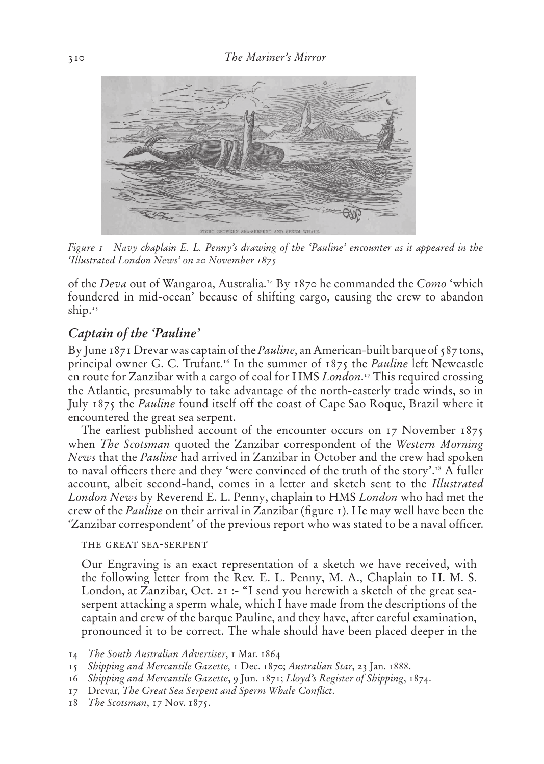

*Figure 1 Navy chaplain E. L. Penny's drawing of the 'Pauline' encounter as it appeared in the 'Illustrated London News' on 20 November 1875*

of the *Deva* out of Wangaroa, Australia.14 By 1870 he commanded the *Como* 'which foundered in mid-ocean' because of shifting cargo, causing the crew to abandon ship.<sup>15</sup>

#### **Captain of the 'Pauline'**

By June 1871 Drevar was captain of the *Pauline,* an American-built barque of 587 tons, principal owner G. C. Trufant.16 In the summer of 1875 the *Pauline* left Newcastle en route for Zanzibar with a cargo of coal for HMS *London*. 17 This required crossing the Atlantic, presumably to take advantage of the north-easterly trade winds, so in July 1875 the *Pauline* found itself off the coast of Cape Sao Roque, Brazil where it encountered the great sea serpent.

The earliest published account of the encounter occurs on 17 November 1875 when *The Scotsman* quoted the Zanzibar correspondent of the *Western Morning News* that the *Pauline* had arrived in Zanzibar in October and the crew had spoken to naval officers there and they 'were convinced of the truth of the story'.<sup>18</sup> A fuller account, albeit second-hand, comes in a letter and sketch sent to the *Illustrated London News* by Reverend E. L. Penny, chaplain to HMS *London* who had met the crew of the *Pauline* on their arrival in Zanzibar (figure 1). He may well have been the 'Zanzibar correspondent' of the previous report who was stated to be a naval officer.

#### the great sea-serpent

Our Engraving is an exact representation of a sketch we have received, with the following letter from the Rev. E. L. Penny, M. A., Chaplain to H. M. S. London, at Zanzibar, Oct. 21 :- "I send you herewith a sketch of the great seaserpent attacking a sperm whale, which I have made from the descriptions of the captain and crew of the barque Pauline, and they have, after careful examination, pronounced it to be correct. The whale should have been placed deeper in the

<sup>14</sup> *The South Australian Advertiser*, 1 Mar. 1864

<sup>15</sup> *Shipping and Mercantile Gazette,* 1 Dec. 1870; *Australian Star*, 23 Jan. 1888.

<sup>16</sup> *Shipping and Mercantile Gazette*, 9 Jun. 1871; *Lloyd's Register of Shipping*, 1874.

<sup>17</sup> Drevar, *The Great Sea Serpent and Sperm Whale Conflict*.

<sup>18</sup> *The Scotsman*, 17 Nov. 1875.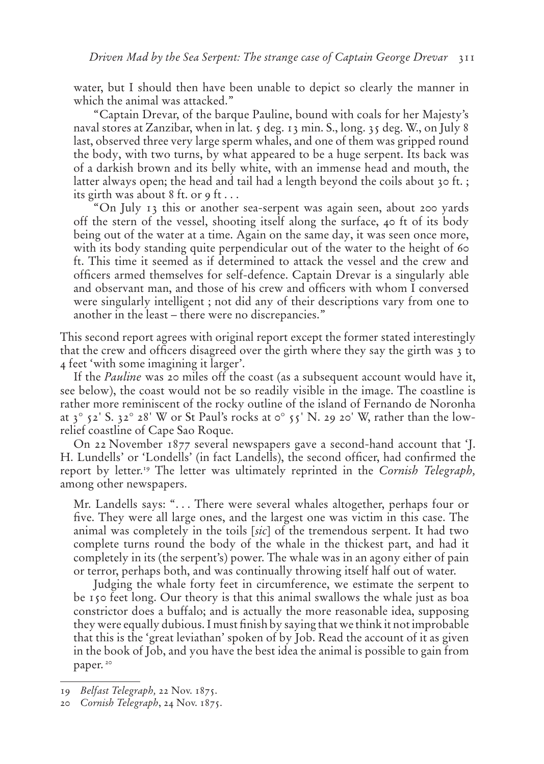water, but I should then have been unable to depict so clearly the manner in which the animal was attacked."

"Captain Drevar, of the barque Pauline, bound with coals for her Majesty's naval stores at Zanzibar, when in lat. 5 deg. 13 min. S., long. 35 deg. W., on July 8 last, observed three very large sperm whales, and one of them was gripped round the body, with two turns, by what appeared to be a huge serpent. Its back was of a darkish brown and its belly white, with an immense head and mouth, the latter always open; the head and tail had a length beyond the coils about 30 ft. ; its girth was about 8 ft. or 9 ft . . .

"On July 13 this or another sea-serpent was again seen, about 200 yards off the stern of the vessel, shooting itself along the surface, 40 ft of its body being out of the water at a time. Again on the same day, it was seen once more, with its body standing quite perpendicular out of the water to the height of 60 ft. This time it seemed as if determined to attack the vessel and the crew and officers armed themselves for self-defence. Captain Drevar is a singularly able and observant man, and those of his crew and officers with whom I conversed were singularly intelligent ; not did any of their descriptions vary from one to another in the least – there were no discrepancies."

This second report agrees with original report except the former stated interestingly that the crew and officers disagreed over the girth where they say the girth was 3 to 4 feet 'with some imagining it larger'.

If the *Pauline* was 20 miles off the coast (as a subsequent account would have it, see below), the coast would not be so readily visible in the image. The coastline is rather more reminiscent of the rocky outline of the island of Fernando de Noronha at  $3^\circ$   $52'$  S.  $32^\circ$   $28'$  W or St Paul's rocks at  $\circ^\circ$   $55'$  N. 29 20' W, rather than the lowrelief coastline of Cape Sao Roque.

On 22 November 1877 several newspapers gave a second-hand account that 'J. H. Lundells' or 'Londells' (in fact Landells), the second officer, had confirmed the report by letter.19 The letter was ultimately reprinted in the *Cornish Telegraph,*  among other newspapers.

Mr. Landells says: ". . . There were several whales altogether, perhaps four or five. They were all large ones, and the largest one was victim in this case. The animal was completely in the toils [*sic*] of the tremendous serpent. It had two complete turns round the body of the whale in the thickest part, and had it completely in its (the serpent's) power. The whale was in an agony either of pain or terror, perhaps both, and was continually throwing itself half out of water.

Judging the whale forty feet in circumference, we estimate the serpent to be 150 feet long. Our theory is that this animal swallows the whale just as boa constrictor does a buffalo; and is actually the more reasonable idea, supposing they were equally dubious. I must finish by saying that we think it not improbable that this is the 'great leviathan' spoken of by Job. Read the account of it as given in the book of Job, and you have the best idea the animal is possible to gain from paper.<sup>20</sup>

<sup>19</sup> *Belfast Telegraph,* 22 Nov. 1875.

<sup>20</sup> *Cornish Telegraph*, 24 Nov. 1875.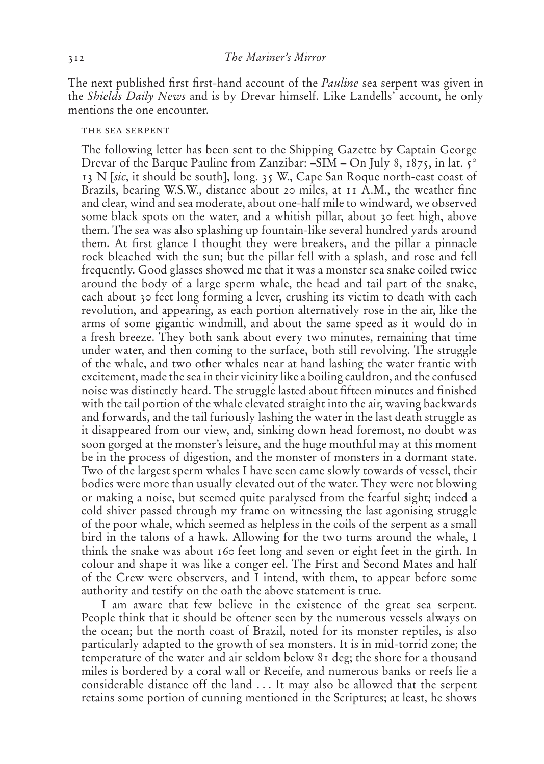The next published first first-hand account of the *Pauline* sea serpent was given in the *Shields Daily News* and is by Drevar himself. Like Landells' account, he only mentions the one encounter.

#### the sea serpent

The following letter has been sent to the Shipping Gazette by Captain George Drevar of the Barque Pauline from Zanzibar:  $-SIM - On$  July 8, 1875, in lat.  $5^\circ$ 13 N [*sic*, it should be south], long. 35 W., Cape San Roque north-east coast of Brazils, bearing W.S.W., distance about 20 miles, at 11 A.M., the weather fine and clear, wind and sea moderate, about one-half mile to windward, we observed some black spots on the water, and a whitish pillar, about 30 feet high, above them. The sea was also splashing up fountain-like several hundred yards around them. At first glance I thought they were breakers, and the pillar a pinnacle rock bleached with the sun; but the pillar fell with a splash, and rose and fell frequently. Good glasses showed me that it was a monster sea snake coiled twice around the body of a large sperm whale, the head and tail part of the snake, each about 30 feet long forming a lever, crushing its victim to death with each revolution, and appearing, as each portion alternatively rose in the air, like the arms of some gigantic windmill, and about the same speed as it would do in a fresh breeze. They both sank about every two minutes, remaining that time under water, and then coming to the surface, both still revolving. The struggle of the whale, and two other whales near at hand lashing the water frantic with excitement, made the sea in their vicinity like a boiling cauldron, and the confused noise was distinctly heard. The struggle lasted about fifteen minutes and finished with the tail portion of the whale elevated straight into the air, waving backwards and forwards, and the tail furiously lashing the water in the last death struggle as it disappeared from our view, and, sinking down head foremost, no doubt was soon gorged at the monster's leisure, and the huge mouthful may at this moment be in the process of digestion, and the monster of monsters in a dormant state. Two of the largest sperm whales I have seen came slowly towards of vessel, their bodies were more than usually elevated out of the water. They were not blowing or making a noise, but seemed quite paralysed from the fearful sight; indeed a cold shiver passed through my frame on witnessing the last agonising struggle of the poor whale, which seemed as helpless in the coils of the serpent as a small bird in the talons of a hawk. Allowing for the two turns around the whale, I think the snake was about 160 feet long and seven or eight feet in the girth. In colour and shape it was like a conger eel. The First and Second Mates and half of the Crew were observers, and I intend, with them, to appear before some authority and testify on the oath the above statement is true.

I am aware that few believe in the existence of the great sea serpent. People think that it should be oftener seen by the numerous vessels always on the ocean; but the north coast of Brazil, noted for its monster reptiles, is also particularly adapted to the growth of sea monsters. It is in mid-torrid zone; the temperature of the water and air seldom below 81 deg; the shore for a thousand miles is bordered by a coral wall or Receife, and numerous banks or reefs lie a considerable distance off the land . . . It may also be allowed that the serpent retains some portion of cunning mentioned in the Scriptures; at least, he shows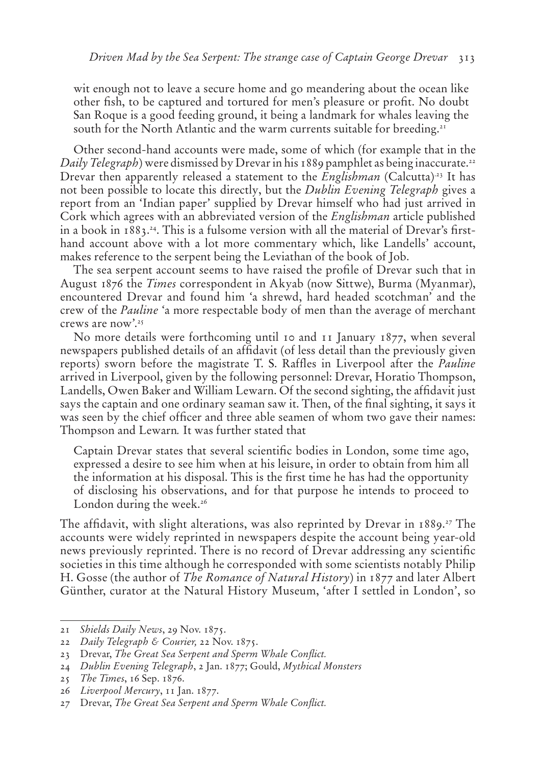wit enough not to leave a secure home and go meandering about the ocean like other fish, to be captured and tortured for men's pleasure or profit. No doubt San Roque is a good feeding ground, it being a landmark for whales leaving the south for the North Atlantic and the warm currents suitable for breeding.<sup>21</sup>

Other second-hand accounts were made, some of which (for example that in the *Daily Telegraph*) were dismissed by Drevar in his 1889 pamphlet as being inaccurate.<sup>22</sup> Drevar then apparently released a statement to the *Englishman* (Calcutta)<sup>23</sup> It has not been possible to locate this directly, but the *Dublin Evening Telegraph* gives a report from an 'Indian paper' supplied by Drevar himself who had just arrived in Cork which agrees with an abbreviated version of the *Englishman* article published in a book in 1883.24. This is a fulsome version with all the material of Drevar's firsthand account above with a lot more commentary which, like Landells' account, makes reference to the serpent being the Leviathan of the book of Job.

The sea serpent account seems to have raised the profile of Drevar such that in August 1876 the *Times* correspondent in Akyab (now Sittwe), Burma (Myanmar), encountered Drevar and found him 'a shrewd, hard headed scotchman' and the crew of the *Pauline* 'a more respectable body of men than the average of merchant crews are now'.25

No more details were forthcoming until 10 and 11 January 1877, when several newspapers published details of an affidavit (of less detail than the previously given reports) sworn before the magistrate T. S. Raffles in Liverpool after the *Pauline* arrived in Liverpool, given by the following personnel: Drevar, Horatio Thompson, Landells, Owen Baker and William Lewarn. Of the second sighting, the affidavit just says the captain and one ordinary seaman saw it. Then, of the final sighting, it says it was seen by the chief officer and three able seamen of whom two gave their names: Thompson and Lewarn*.* It was further stated that

Captain Drevar states that several scientific bodies in London, some time ago, expressed a desire to see him when at his leisure, in order to obtain from him all the information at his disposal. This is the first time he has had the opportunity of disclosing his observations, and for that purpose he intends to proceed to London during the week. $26$ 

The affidavit, with slight alterations, was also reprinted by Drevar in 1889.27 The accounts were widely reprinted in newspapers despite the account being year-old news previously reprinted. There is no record of Drevar addressing any scientific societies in this time although he corresponded with some scientists notably Philip H. Gosse (the author of *The Romance of Natural History*) in 1877 and later Albert Günther, curator at the Natural History Museum, 'after I settled in London', so

<sup>21</sup> *Shields Daily News*, 29 Nov. 1875.

<sup>22</sup> *Daily Telegraph & Courier,* 22 Nov. 1875.

<sup>23</sup> Drevar, *The Great Sea Serpent and Sperm Whale Conflict.*

<sup>24</sup> *Dublin Evening Telegraph*, 2 Jan. 1877; Gould, *Mythical Monsters*

<sup>25</sup> *The Times*, 16 Sep. 1876.

<sup>26</sup> *Liverpool Mercury*, 11 Jan. 1877.

<sup>27</sup> Drevar, *The Great Sea Serpent and Sperm Whale Conflict.*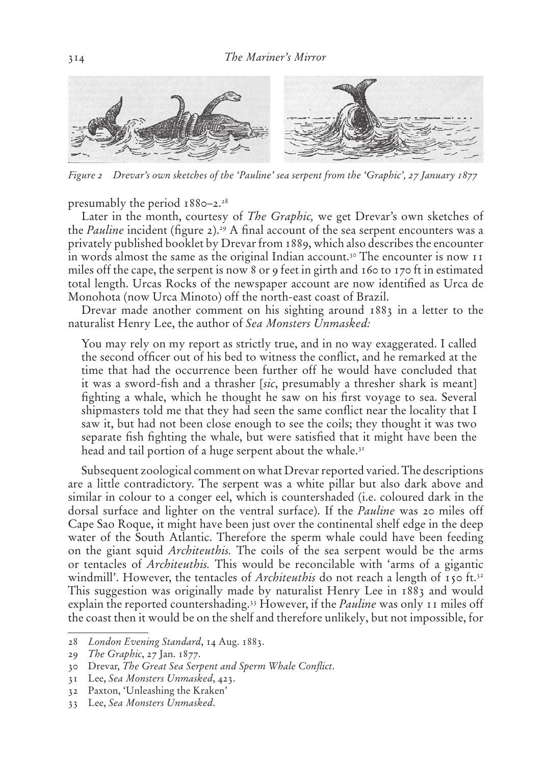

*Figure 2 Drevar's own sketches of the 'Pauline' sea serpent from the 'Graphic', 27 January 1877*

presumably the period  $1880-2.^{28}$ 

Later in the month, courtesy of *The Graphic,* we get Drevar's own sketches of the *Pauline* incident (figure 2).<sup>29</sup> A final account of the sea serpent encounters was a privately published booklet by Drevar from 1889, which also describes the encounter in words almost the same as the original Indian account.<sup>30</sup> The encounter is now 11 miles off the cape, the serpent is now 8 or 9 feet in girth and 160 to 170 ft in estimated total length. Urcas Rocks of the newspaper account are now identified as Urca de Monohota (now Urca Minoto) off the north-east coast of Brazil.

Drevar made another comment on his sighting around 1883 in a letter to the naturalist Henry Lee, the author of *Sea Monsters Unmasked:*

You may rely on my report as strictly true, and in no way exaggerated. I called the second officer out of his bed to witness the conflict, and he remarked at the time that had the occurrence been further off he would have concluded that it was a sword-fish and a thrasher [*sic*, presumably a thresher shark is meant] fighting a whale, which he thought he saw on his first voyage to sea. Several shipmasters told me that they had seen the same conflict near the locality that I saw it, but had not been close enough to see the coils; they thought it was two separate fish fighting the whale, but were satisfied that it might have been the head and tail portion of a huge serpent about the whale. $3<sup>T</sup>$ 

Subsequent zoological comment on what Drevar reported varied. The descriptions are a little contradictory. The serpent was a white pillar but also dark above and similar in colour to a conger eel, which is countershaded (i.e. coloured dark in the dorsal surface and lighter on the ventral surface). If the *Pauline* was 20 miles off Cape Sao Roque, it might have been just over the continental shelf edge in the deep water of the South Atlantic. Therefore the sperm whale could have been feeding on the giant squid *Architeuthis.* The coils of the sea serpent would be the arms or tentacles of *Architeuthis.* This would be reconcilable with 'arms of a gigantic windmill'. However, the tentacles of *Architeuthis* do not reach a length of 150 ft.<sup>32</sup> This suggestion was originally made by naturalist Henry Lee in 1883 and would explain the reported countershading.33 However, if the *Pauline* was only 11 miles off the coast then it would be on the shelf and therefore unlikely, but not impossible, for

<sup>28</sup> *London Evening Standard*, 14 Aug. 1883.

<sup>29</sup> *The Graphic*, 27 Jan. 1877.

<sup>30</sup> Drevar, *The Great Sea Serpent and Sperm Whale Conflict*.

<sup>31</sup> Lee, *Sea Monsters Unmasked*, 423.

<sup>32</sup> Paxton, 'Unleashing the Kraken'

<sup>33</sup> Lee, *Sea Monsters Unmasked*.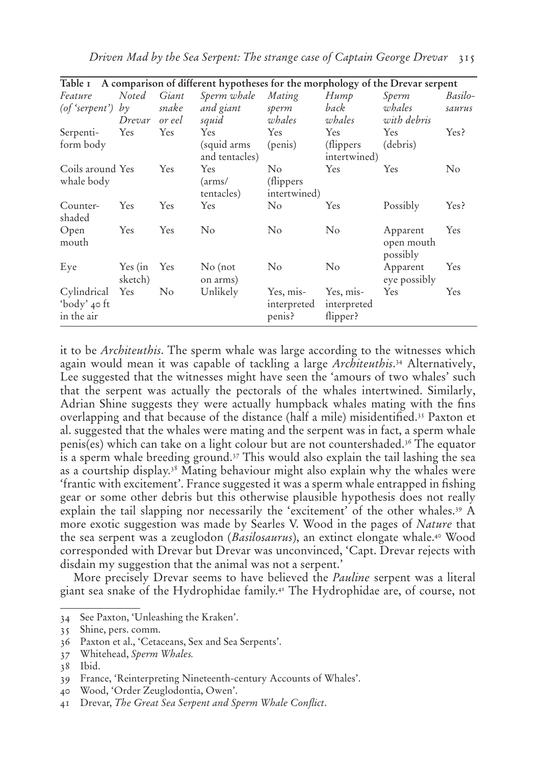| Table 1                    |                    |                | A comparison of different hypotheses for the morphology of the Drevar serpent |                       |                         |                                    |                |
|----------------------------|--------------------|----------------|-------------------------------------------------------------------------------|-----------------------|-------------------------|------------------------------------|----------------|
| Feature                    | <b>Noted</b>       | Giant          | Sperm whale                                                                   | Mating                | Hump                    | Sperm                              | Basilo-        |
| (of 'serpent') by          |                    | snake          | and giant                                                                     | sperm                 | back                    | whales                             | saurus         |
|                            | Drevar             | or eel         | squid                                                                         | whales                | whales                  | with debris                        |                |
| Serpenti-                  | Yes                | Yes            | Yes                                                                           | Yes                   | Yes                     | Yes                                | Yes?           |
| form body                  |                    |                | (squid arms                                                                   | (penis)               | (flippers)              | (debris)                           |                |
|                            |                    |                | and tentacles)                                                                |                       | intertwined)            |                                    |                |
| Coils around Yes           |                    | Yes            | Yes                                                                           | $\rm No$              | Yes                     | Yes                                | N <sub>o</sub> |
| whale body                 |                    |                | (arms/                                                                        | (flippers)            |                         |                                    |                |
|                            |                    |                | tentacles)                                                                    | intertwined)          |                         |                                    |                |
| Counter-<br>shaded         | Yes                | <b>Yes</b>     | Yes                                                                           | $\rm No$              | Yes                     | Possibly                           | Yes?           |
| Open<br>mouth              | Yes                | Yes            | $\rm No$                                                                      | $\rm No$              | $\rm No$                | Apparent<br>open mouth<br>possibly | Yes            |
| Eye                        | Yes (in<br>sketch) | Yes            | $No$ (not<br>on arms)                                                         | $\rm No$              | $\rm No$                | Apparent<br>eye possibly           | Yes            |
| Cylindrical                | Yes                | N <sub>o</sub> | Unlikely                                                                      | Yes, mis-             | Yes, mis-               | <b>Yes</b>                         | <b>Yes</b>     |
| 'body' 40 ft<br>in the air |                    |                |                                                                               | interpreted<br>penis? | interpreted<br>flipper? |                                    |                |

*Driven Mad by the Sea Serpent: The strange case of Captain George Drevar* 315

it to be *Architeuthis*. The sperm whale was large according to the witnesses which again would mean it was capable of tackling a large *Architeuthis*. 34 Alternatively, Lee suggested that the witnesses might have seen the 'amours of two whales' such that the serpent was actually the pectorals of the whales intertwined. Similarly, Adrian Shine suggests they were actually humpback whales mating with the fins overlapping and that because of the distance (half a mile) misidentified.35 Paxton et al. suggested that the whales were mating and the serpent was in fact, a sperm whale penis(es) which can take on a light colour but are not countershaded.36 The equator is a sperm whale breeding ground.37 This would also explain the tail lashing the sea as a courtship display.38 Mating behaviour might also explain why the whales were 'frantic with excitement'. France suggested it was a sperm whale entrapped in fishing gear or some other debris but this otherwise plausible hypothesis does not really explain the tail slapping nor necessarily the 'excitement' of the other whales.39 A more exotic suggestion was made by Searles V. Wood in the pages of *Nature* that the sea serpent was a zeuglodon (*Basilosaurus*), an extinct elongate whale.40 Wood corresponded with Drevar but Drevar was unconvinced, 'Capt. Drevar rejects with disdain my suggestion that the animal was not a serpent.'

More precisely Drevar seems to have believed the *Pauline* serpent was a literal giant sea snake of the Hydrophidae family.41 The Hydrophidae are, of course, not

<sup>34</sup> See Paxton, 'Unleashing the Kraken'.

<sup>35</sup> Shine, pers. comm.

<sup>36</sup> Paxton et al., 'Cetaceans, Sex and Sea Serpents'.

<sup>37</sup> Whitehead, *Sperm Whales.*

<sup>38</sup> Ibid.

<sup>39</sup> France, 'Reinterpreting Nineteenth-century Accounts of Whales'.

<sup>40</sup> Wood, 'Order Zeuglodontia, Owen'.

<sup>41</sup> Drevar, *The Great Sea Serpent and Sperm Whale Conflict*.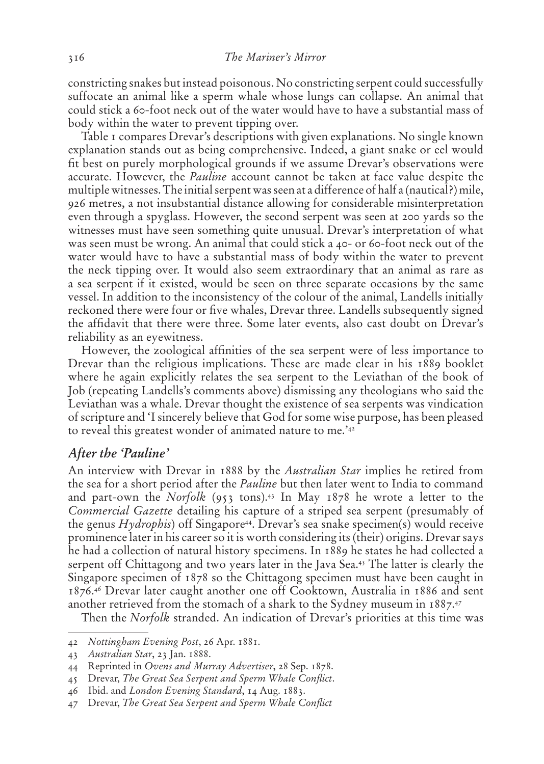constricting snakes but instead poisonous. No constricting serpent could successfully suffocate an animal like a sperm whale whose lungs can collapse. An animal that could stick a 60-foot neck out of the water would have to have a substantial mass of body within the water to prevent tipping over.

Table 1 compares Drevar's descriptions with given explanations. No single known explanation stands out as being comprehensive. Indeed, a giant snake or eel would fit best on purely morphological grounds if we assume Drevar's observations were accurate. However, the *Pauline* account cannot be taken at face value despite the multiple witnesses. The initial serpent was seen at a difference of half a (nautical?) mile, 926 metres, a not insubstantial distance allowing for considerable misinterpretation even through a spyglass. However, the second serpent was seen at 200 yards so the witnesses must have seen something quite unusual. Drevar's interpretation of what was seen must be wrong. An animal that could stick a 40- or 60-foot neck out of the water would have to have a substantial mass of body within the water to prevent the neck tipping over. It would also seem extraordinary that an animal as rare as a sea serpent if it existed, would be seen on three separate occasions by the same vessel. In addition to the inconsistency of the colour of the animal, Landells initially reckoned there were four or five whales, Drevar three. Landells subsequently signed the affidavit that there were three. Some later events, also cast doubt on Drevar's reliability as an eyewitness.

However, the zoological affinities of the sea serpent were of less importance to Drevar than the religious implications. These are made clear in his 1889 booklet where he again explicitly relates the sea serpent to the Leviathan of the book of Job (repeating Landells's comments above) dismissing any theologians who said the Leviathan was a whale. Drevar thought the existence of sea serpents was vindication of scripture and 'I sincerely believe that God for some wise purpose, has been pleased to reveal this greatest wonder of animated nature to me.'42

#### **After the 'Pauline'**

An interview with Drevar in 1888 by the *Australian Star* implies he retired from the sea for a short period after the *Pauline* but then later went to India to command and part-own the *Norfolk* (953 tons).43 In May 1878 he wrote a letter to the *Commercial Gazette* detailing his capture of a striped sea serpent (presumably of the genus  $Hydrophis$ ) off Singapore<sup>44</sup>. Drevar's sea snake specimen(s) would receive prominence later in his career so it is worth considering its (their) origins. Drevar says he had a collection of natural history specimens. In 1889 he states he had collected a serpent off Chittagong and two years later in the Java Sea.45 The latter is clearly the Singapore specimen of 1878 so the Chittagong specimen must have been caught in 1876.46 Drevar later caught another one off Cooktown, Australia in 1886 and sent another retrieved from the stomach of a shark to the Sydney museum in 1887.47

Then the *Norfolk* stranded. An indication of Drevar's priorities at this time was

<sup>42</sup> *Nottingham Evening Post*, 26 Apr. 1881.

<sup>43</sup> *Australian Star*, 23 Jan. 1888.

<sup>44</sup> Reprinted in *Ovens and Murray Advertiser*, 28 Sep. 1878.

<sup>45</sup> Drevar, *The Great Sea Serpent and Sperm Whale Conflict*.

<sup>46</sup> Ibid. and *London Evening Standard*, 14 Aug. 1883.

<sup>47</sup> Drevar, *The Great Sea Serpent and Sperm Whale Conflict*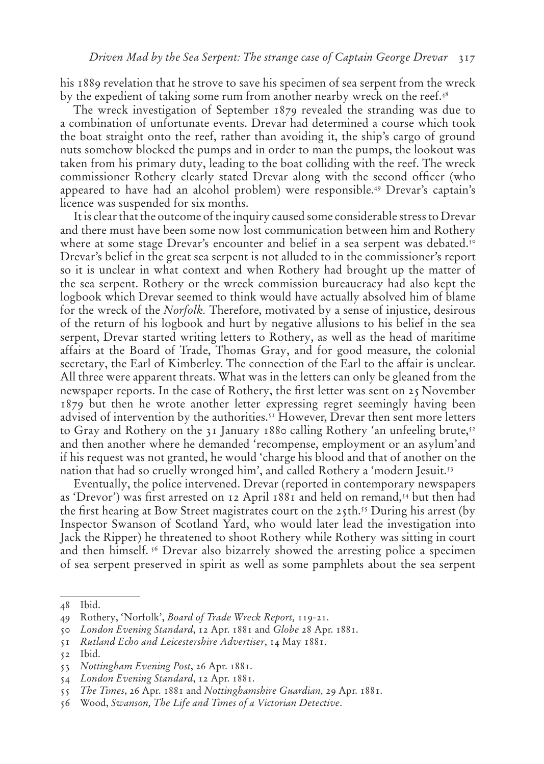his 1889 revelation that he strove to save his specimen of sea serpent from the wreck by the expedient of taking some rum from another nearby wreck on the reef.<sup>48</sup>

The wreck investigation of September 1879 revealed the stranding was due to a combination of unfortunate events. Drevar had determined a course which took the boat straight onto the reef, rather than avoiding it, the ship's cargo of ground nuts somehow blocked the pumps and in order to man the pumps, the lookout was taken from his primary duty, leading to the boat colliding with the reef. The wreck commissioner Rothery clearly stated Drevar along with the second officer (who appeared to have had an alcohol problem) were responsible.49 Drevar's captain's licence was suspended for six months.

It is clear that the outcome of the inquiry caused some considerable stress to Drevar and there must have been some now lost communication between him and Rothery where at some stage Drevar's encounter and belief in a sea serpent was debated.<sup>50</sup> Drevar's belief in the great sea serpent is not alluded to in the commissioner's report so it is unclear in what context and when Rothery had brought up the matter of the sea serpent. Rothery or the wreck commission bureaucracy had also kept the logbook which Drevar seemed to think would have actually absolved him of blame for the wreck of the *Norfolk.* Therefore, motivated by a sense of injustice, desirous of the return of his logbook and hurt by negative allusions to his belief in the sea serpent, Drevar started writing letters to Rothery, as well as the head of maritime affairs at the Board of Trade, Thomas Gray, and for good measure, the colonial secretary, the Earl of Kimberley. The connection of the Earl to the affair is unclear. All three were apparent threats. What was in the letters can only be gleaned from the newspaper reports. In the case of Rothery, the first letter was sent on 25 November 1879 but then he wrote another letter expressing regret seemingly having been advised of intervention by the authorities.<sup>51</sup> However, Drevar then sent more letters to Gray and Rothery on the 31 January 1880 calling Rothery 'an unfeeling brute,<sup>52</sup> and then another where he demanded 'recompense, employment or an asylum'and if his request was not granted, he would 'charge his blood and that of another on the nation that had so cruelly wronged him', and called Rothery a 'modern Jesuit.<sup>53</sup>

Eventually, the police intervened. Drevar (reported in contemporary newspapers as 'Drevor') was first arrested on 12 April 1881 and held on remand,<sup>54</sup> but then had the first hearing at Bow Street magistrates court on the  $25$ th.<sup>55</sup> During his arrest (by Inspector Swanson of Scotland Yard, who would later lead the investigation into Jack the Ripper) he threatened to shoot Rothery while Rothery was sitting in court and then himself. <sup>56</sup> Drevar also bizarrely showed the arresting police a specimen of sea serpent preserved in spirit as well as some pamphlets about the sea serpent

<sup>48</sup> Ibid.

<sup>49</sup> Rothery, 'Norfolk', *Board of Trade Wreck Report,* 119-21.

<sup>50</sup> *London Evening Standard*, 12 Apr. 1881 and *Globe* 28 Apr. 1881.

<sup>51</sup> *Rutland Echo and Leicestershire Advertiser*, 14 May 1881.

<sup>52</sup> Ibid.

<sup>53</sup> *Nottingham Evening Post*, 26 Apr. 1881.

<sup>54</sup> *London Evening Standard*, 12 Apr. 1881.

<sup>55</sup> *The Times*, 26 Apr. 1881 and *Nottinghamshire Guardian,* 29 Apr. 1881.

<sup>56</sup> Wood, *Swanson, The Life and Times of a Victorian Detective*.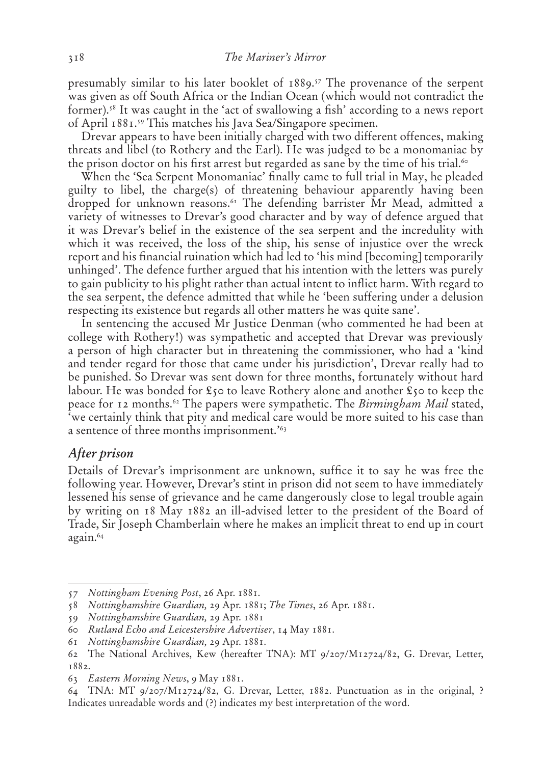presumably similar to his later booklet of 1889.57 The provenance of the serpent was given as off South Africa or the Indian Ocean (which would not contradict the former).58 It was caught in the 'act of swallowing a fish' according to a news report of April 1881.59 This matches his Java Sea/Singapore specimen.

Drevar appears to have been initially charged with two different offences, making threats and libel (to Rothery and the Earl). He was judged to be a monomaniac by the prison doctor on his first arrest but regarded as sane by the time of his trial.<sup>60</sup>

When the 'Sea Serpent Monomaniac' finally came to full trial in May, he pleaded guilty to libel, the charge(s) of threatening behaviour apparently having been dropped for unknown reasons.<sup>61</sup> The defending barrister Mr Mead, admitted a variety of witnesses to Drevar's good character and by way of defence argued that it was Drevar's belief in the existence of the sea serpent and the incredulity with which it was received, the loss of the ship, his sense of injustice over the wreck report and his financial ruination which had led to 'his mind [becoming] temporarily unhinged'. The defence further argued that his intention with the letters was purely to gain publicity to his plight rather than actual intent to inflict harm. With regard to the sea serpent, the defence admitted that while he 'been suffering under a delusion respecting its existence but regards all other matters he was quite sane'.

In sentencing the accused Mr Justice Denman (who commented he had been at college with Rothery!) was sympathetic and accepted that Drevar was previously a person of high character but in threatening the commissioner, who had a 'kind and tender regard for those that came under his jurisdiction', Drevar really had to be punished. So Drevar was sent down for three months, fortunately without hard labour. He was bonded for  $\mathfrak{c}_5$  to leave Rothery alone and another  $\mathfrak{c}_5$  to keep the peace for 12 months.62 The papers were sympathetic. The *Birmingham Mail* stated, 'we certainly think that pity and medical care would be more suited to his case than a sentence of three months imprisonment.'63

#### **After prison**

Details of Drevar's imprisonment are unknown, suffice it to say he was free the following year. However, Drevar's stint in prison did not seem to have immediately lessened his sense of grievance and he came dangerously close to legal trouble again by writing on 18 May 1882 an ill-advised letter to the president of the Board of Trade, Sir Joseph Chamberlain where he makes an implicit threat to end up in court again.64

<sup>57</sup> *Nottingham Evening Post*, 26 Apr. 1881.

<sup>58</sup> *Nottinghamshire Guardian,* 29 Apr. 1881; *The Times*, 26 Apr. 1881.

<sup>59</sup> *Nottinghamshire Guardian,* 29 Apr. 1881

<sup>60</sup> *Rutland Echo and Leicestershire Advertiser*, 14 May 1881.

<sup>61</sup> *Nottinghamshire Guardian,* 29 Apr. 1881.

<sup>62</sup> The National Archives, Kew (hereafter TNA): MT 9/207/M12724/82, G. Drevar, Letter, 1882.

<sup>63</sup> *Eastern Morning News*, 9 May 1881.

<sup>64</sup> TNA: MT 9/207/M12724/82, G. Drevar, Letter, 1882. Punctuation as in the original, ? Indicates unreadable words and (?) indicates my best interpretation of the word.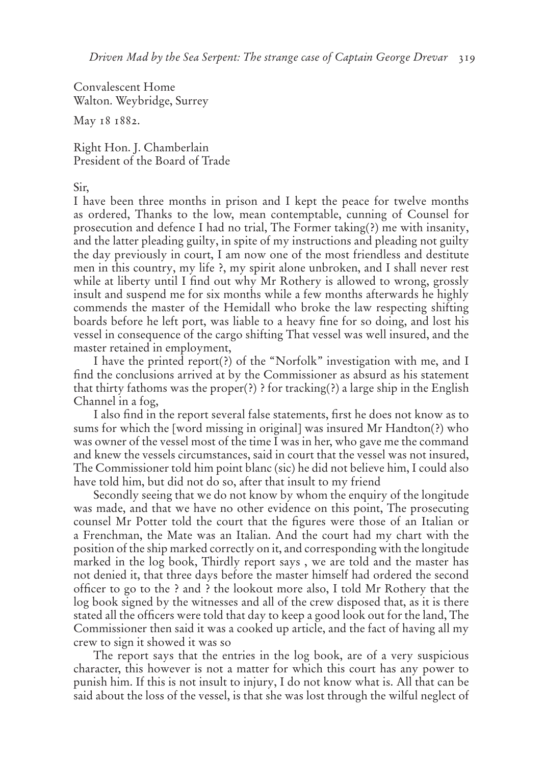Convalescent Home Walton. Weybridge, Surrey

May 18 1882.

Right Hon. J. Chamberlain President of the Board of Trade

#### Sir,

I have been three months in prison and I kept the peace for twelve months as ordered, Thanks to the low, mean contemptable, cunning of Counsel for prosecution and defence I had no trial, The Former taking(?) me with insanity, and the latter pleading guilty, in spite of my instructions and pleading not guilty the day previously in court, I am now one of the most friendless and destitute men in this country, my life ?, my spirit alone unbroken, and I shall never rest while at liberty until I find out why Mr Rothery is allowed to wrong, grossly insult and suspend me for six months while a few months afterwards he highly commends the master of the Hemidall who broke the law respecting shifting boards before he left port, was liable to a heavy fine for so doing, and lost his vessel in consequence of the cargo shifting That vessel was well insured, and the master retained in employment,

I have the printed report(?) of the "Norfolk" investigation with me, and I find the conclusions arrived at by the Commissioner as absurd as his statement that thirty fathoms was the proper(?) ? for tracking(?) a large ship in the English Channel in a fog,

I also find in the report several false statements, first he does not know as to sums for which the [word missing in original] was insured Mr Handton(?) who was owner of the vessel most of the time I was in her, who gave me the command and knew the vessels circumstances, said in court that the vessel was not insured, The Commissioner told him point blanc (sic) he did not believe him, I could also have told him, but did not do so, after that insult to my friend

Secondly seeing that we do not know by whom the enquiry of the longitude was made, and that we have no other evidence on this point, The prosecuting counsel Mr Potter told the court that the figures were those of an Italian or a Frenchman, the Mate was an Italian. And the court had my chart with the position of the ship marked correctly on it, and corresponding with the longitude marked in the log book, Thirdly report says , we are told and the master has not denied it, that three days before the master himself had ordered the second officer to go to the ? and ? the lookout more also, I told Mr Rothery that the log book signed by the witnesses and all of the crew disposed that, as it is there stated all the officers were told that day to keep a good look out for the land, The Commissioner then said it was a cooked up article, and the fact of having all my crew to sign it showed it was so

The report says that the entries in the log book, are of a very suspicious character, this however is not a matter for which this court has any power to punish him. If this is not insult to injury, I do not know what is. All that can be said about the loss of the vessel, is that she was lost through the wilful neglect of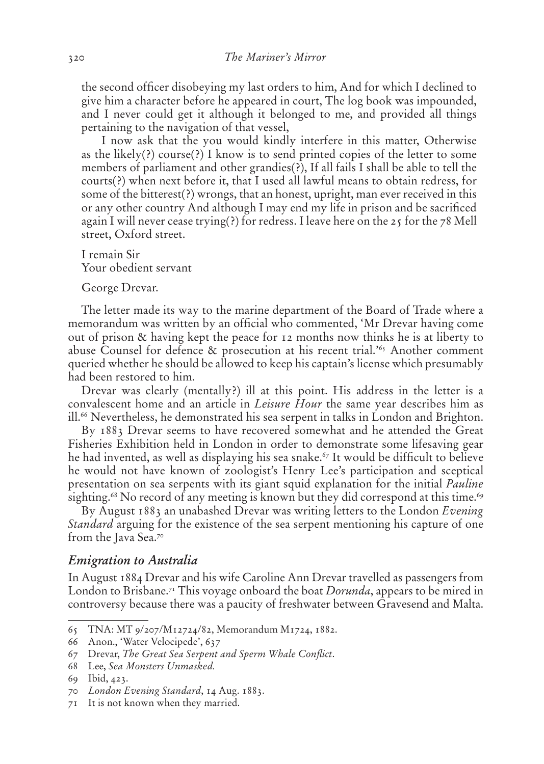the second officer disobeying my last orders to him, And for which I declined to give him a character before he appeared in court, The log book was impounded, and I never could get it although it belonged to me, and provided all things pertaining to the navigation of that vessel,

I now ask that the you would kindly interfere in this matter, Otherwise as the likely(?) course(?) I know is to send printed copies of the letter to some members of parliament and other grandies(?), If all fails I shall be able to tell the courts(?) when next before it, that I used all lawful means to obtain redress, for some of the bitterest(?) wrongs, that an honest, upright, man ever received in this or any other country And although I may end my life in prison and be sacrificed again I will never cease trying(?) for redress. I leave here on the 25 for the 78 Mell street, Oxford street.

I remain Sir Your obedient servant

George Drevar.

The letter made its way to the marine department of the Board of Trade where a memorandum was written by an official who commented, 'Mr Drevar having come out of prison & having kept the peace for 12 months now thinks he is at liberty to abuse Counsel for defence & prosecution at his recent trial.'65 Another comment queried whether he should be allowed to keep his captain's license which presumably had been restored to him.

Drevar was clearly (mentally?) ill at this point. His address in the letter is a convalescent home and an article in *Leisure Hour* the same year describes him as ill.<sup>66</sup> Nevertheless, he demonstrated his sea serpent in talks in London and Brighton.

By 1883 Drevar seems to have recovered somewhat and he attended the Great Fisheries Exhibition held in London in order to demonstrate some lifesaving gear he had invented, as well as displaying his sea snake.<sup> $67$ </sup> It would be difficult to believe he would not have known of zoologist's Henry Lee's participation and sceptical presentation on sea serpents with its giant squid explanation for the initial *Pauline*  sighting.<sup>68</sup> No record of any meeting is known but they did correspond at this time.<sup>69</sup>

By August 1883 an unabashed Drevar was writing letters to the London *Evening Standard* arguing for the existence of the sea serpent mentioning his capture of one from the Java Sea.<sup>70</sup>

#### **Emigration to Australia**

In August 1884 Drevar and his wife Caroline Ann Drevar travelled as passengers from London to Brisbane.71 This voyage onboard the boat *Dorunda*, appears to be mired in controversy because there was a paucity of freshwater between Gravesend and Malta.

<sup>65</sup> TNA: MT 9/207/M12724/82, Memorandum M1724, 1882.

<sup>66</sup> Anon., 'Water Velocipede', 637

<sup>67</sup> Drevar, *The Great Sea Serpent and Sperm Whale Conflict*.

<sup>68</sup> Lee, *Sea Monsters Unmasked.*

<sup>69</sup> Ibid, 423.

<sup>70</sup> *London Evening Standard*, 14 Aug. 1883.

<sup>71</sup> It is not known when they married.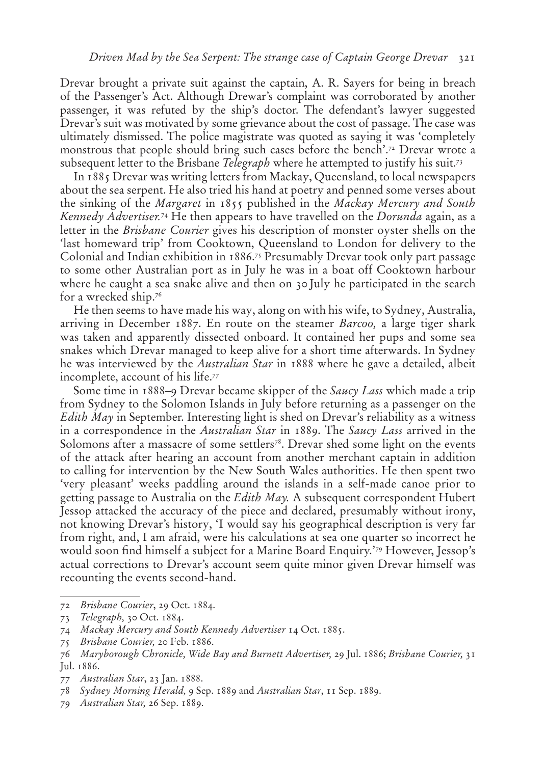Drevar brought a private suit against the captain, A. R. Sayers for being in breach of the Passenger's Act. Although Drewar's complaint was corroborated by another passenger, it was refuted by the ship's doctor. The defendant's lawyer suggested Drevar's suit was motivated by some grievance about the cost of passage. The case was ultimately dismissed. The police magistrate was quoted as saying it was 'completely monstrous that people should bring such cases before the bench'.72 Drevar wrote a subsequent letter to the Brisbane *Telegraph* where he attempted to justify his suit.73

In 1885 Drevar was writing letters from Mackay, Queensland, to local newspapers about the sea serpent. He also tried his hand at poetry and penned some verses about the sinking of the *Margaret* in 1855 published in the *Mackay Mercury and South Kennedy Advertiser.*74 He then appears to have travelled on the *Dorunda* again, as a letter in the *Brisbane Courier* gives his description of monster oyster shells on the 'last homeward trip' from Cooktown, Queensland to London for delivery to the Colonial and Indian exhibition in 1886.75 Presumably Drevar took only part passage to some other Australian port as in July he was in a boat off Cooktown harbour where he caught a sea snake alive and then on 30 July he participated in the search for a wrecked ship.<sup>76</sup>

He then seems to have made his way, along on with his wife, to Sydney, Australia, arriving in December 1887. En route on the steamer *Barcoo,* a large tiger shark was taken and apparently dissected onboard. It contained her pups and some sea snakes which Drevar managed to keep alive for a short time afterwards. In Sydney he was interviewed by the *Australian Star* in 1888 where he gave a detailed, albeit incomplete, account of his life.77

Some time in 1888–9 Drevar became skipper of the *Saucy Lass* which made a trip from Sydney to the Solomon Islands in July before returning as a passenger on the *Edith May* in September. Interesting light is shed on Drevar's reliability as a witness in a correspondence in the *Australian Star* in 1889. The *Saucy Lass* arrived in the Solomons after a massacre of some settlers<sup>78</sup>. Drevar shed some light on the events of the attack after hearing an account from another merchant captain in addition to calling for intervention by the New South Wales authorities. He then spent two 'very pleasant' weeks paddling around the islands in a self-made canoe prior to getting passage to Australia on the *Edith May.* A subsequent correspondent Hubert Jessop attacked the accuracy of the piece and declared, presumably without irony, not knowing Drevar's history, 'I would say his geographical description is very far from right, and, I am afraid, were his calculations at sea one quarter so incorrect he would soon find himself a subject for a Marine Board Enquiry.'79 However, Jessop's actual corrections to Drevar's account seem quite minor given Drevar himself was recounting the events second-hand.

<sup>72</sup> *Brisbane Courier*, 29 Oct. 1884.

<sup>73</sup> *Telegraph,* 30 Oct. 1884.

<sup>74</sup> *Mackay Mercury and South Kennedy Advertiser* 14 Oct. 1885.

<sup>75</sup> *Brisbane Courier,* 20 Feb. 1886.

<sup>76</sup> *Maryborough Chronicle, Wide Bay and Burnett Advertiser,* 29 Jul. 1886; *Brisbane Courier,* 31 Jul. 1886.

<sup>77</sup> *Australian Star*, 23 Jan. 1888.

<sup>78</sup> *Sydney Morning Herald,* 9 Sep. 1889 and *Australian Star*, 11 Sep. 1889.

<sup>79</sup> *Australian Star,* 26 Sep. 1889.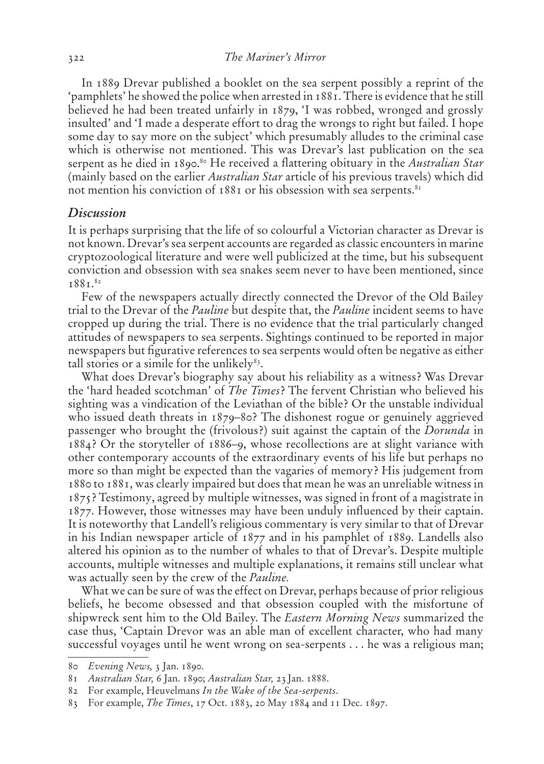In 1889 Drevar published a booklet on the sea serpent possibly a reprint of the 'pamphlets' he showed the police when arrested in 1881. There is evidence that he still believed he had been treated unfairly in 1879, 'I was robbed, wronged and grossly insulted' and 'I made a desperate effort to drag the wrongs to right but failed. I hope some day to say more on the subject' which presumably alludes to the criminal case which is otherwise not mentioned. This was Drevar's last publication on the sea serpent as he died in 1890.<sup>80</sup> He received a flattering obituary in the *Australian Star* (mainly based on the earlier *Australian Star* article of his previous travels) which did not mention his conviction of 1881 or his obsession with sea serpents.<sup>81</sup>

#### **Discussion**

It is perhaps surprising that the life of so colourful a Victorian character as Drevar is not known. Drevar's sea serpent accounts are regarded as classic encounters in marine cryptozoological literature and were well publicized at the time, but his subsequent conviction and obsession with sea snakes seem never to have been mentioned, since 1881.82

Few of the newspapers actually directly connected the Drevor of the Old Bailey trial to the Drevar of the *Pauline* but despite that, the *Pauline* incident seems to have cropped up during the trial. There is no evidence that the trial particularly changed attitudes of newspapers to sea serpents. Sightings continued to be reported in major newspapers but figurative references to sea serpents would often be negative as either tall stories or a simile for the unlikely $83$ .

What does Drevar's biography say about his reliability as a witness? Was Drevar the 'hard headed scotchman' of *The Times*? The fervent Christian who believed his sighting was a vindication of the Leviathan of the bible? Or the unstable individual who issued death threats in 1879–80? The dishonest rogue or genuinely aggrieved passenger who brought the (frivolous?) suit against the captain of the *Dorunda* in 1884? Or the storyteller of 1886–9, whose recollections are at slight variance with other contemporary accounts of the extraordinary events of his life but perhaps no more so than might be expected than the vagaries of memory? His judgement from 1880 to 1881, was clearly impaired but does that mean he was an unreliable witness in 1875? Testimony, agreed by multiple witnesses, was signed in front of a magistrate in 1877. However, those witnesses may have been unduly influenced by their captain. It is noteworthy that Landell's religious commentary is very similar to that of Drevar in his Indian newspaper article of 1877 and in his pamphlet of 1889. Landells also altered his opinion as to the number of whales to that of Drevar's. Despite multiple accounts, multiple witnesses and multiple explanations, it remains still unclear what was actually seen by the crew of the *Pauline.* 

What we can be sure of was the effect on Drevar, perhaps because of prior religious beliefs, he become obsessed and that obsession coupled with the misfortune of shipwreck sent him to the Old Bailey. The *Eastern Morning News* summarized the case thus, 'Captain Drevor was an able man of excellent character, who had many successful voyages until he went wrong on sea-serpents . . . he was a religious man;

<sup>80</sup> *Evening News,* 3 Jan. 1890.

<sup>81</sup> *Australian Star,* 6 Jan. 1890; *Australian Star,* 23 Jan. 1888.

<sup>82</sup> For example, Heuvelmans *In the Wake of the Sea-serpents*.

<sup>83</sup> For example, *The Times*, 17 Oct. 1883, 20 May 1884 and 11 Dec. 1897.